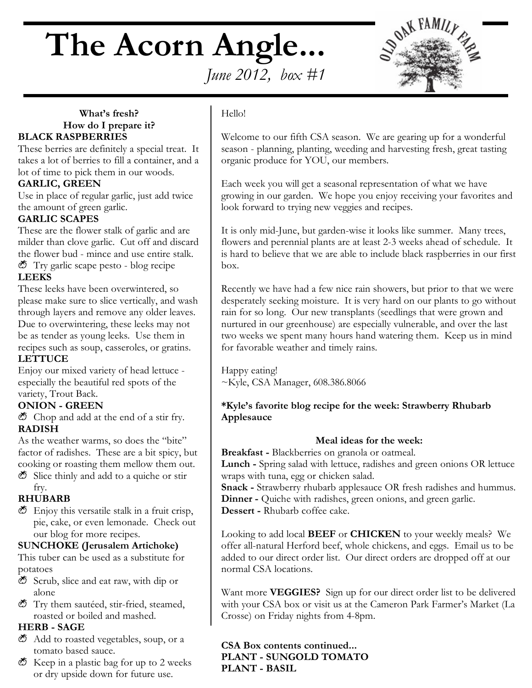# **The Acorn Angle...**



# *June 2012, box #1*

#### **What's fresh? How do I prepare it? BLACK RASPBERRIES**

These berries are definitely a special treat. It takes a lot of berries to fill a container, and a lot of time to pick them in our woods.

#### **GARLIC, GREEN**

Use in place of regular garlic, just add twice the amount of green garlic.

#### **GARLIC SCAPES**

These are the flower stalk of garlic and are milder than clove garlic. Cut off and discard the flower bud - mince and use entire stalk.  $\bullet$  Try garlic scape pesto - blog recipe **LEEKS**

These leeks have been overwintered, so please make sure to slice vertically, and wash through layers and remove any older leaves. Due to overwintering, these leeks may not be as tender as young leeks. Use them in recipes such as soup, casseroles, or gratins. **LETTUCE**

Enjoy our mixed variety of head lettuce especially the beautiful red spots of the variety, Trout Back.

#### **ONION - GREEN**

 $\bullet$  Chop and add at the end of a stir fry. **RADISH**

As the weather warms, so does the "bite" factor of radishes. These are a bit spicy, but cooking or roasting them mellow them out.

 $\bullet$  Slice thinly and add to a quiche or stir fry.

#### **RHUBARB**

 $\bullet$  Enjoy this versatile stalk in a fruit crisp, pie, cake, or even lemonade. Check out our blog for more recipes.

#### **SUNCHOKE (Jerusalem Artichoke)**

This tuber can be used as a substitute for potatoes

- $\bullet$  Scrub, slice and eat raw, with dip or alone
- $\bullet$  Try them sautéed, stir-fried, steamed, roasted or boiled and mashed.

#### **HERB - SAGE**

- $\bullet$  Add to roasted vegetables, soup, or a tomato based sauce.
- $\bullet$  Keep in a plastic bag for up to 2 weeks or dry upside down for future use.

#### Hello!

Welcome to our fifth CSA season. We are gearing up for a wonderful season - planning, planting, weeding and harvesting fresh, great tasting organic produce for YOU, our members.

Each week you will get a seasonal representation of what we have growing in our garden. We hope you enjoy receiving your favorites and look forward to trying new veggies and recipes.

It is only mid-June, but garden-wise it looks like summer. Many trees, flowers and perennial plants are at least 2-3 weeks ahead of schedule. It is hard to believe that we are able to include black raspberries in our first box.

Recently we have had a few nice rain showers, but prior to that we were desperately seeking moisture. It is very hard on our plants to go without rain for so long. Our new transplants (seedlings that were grown and nurtured in our greenhouse) are especially vulnerable, and over the last two weeks we spent many hours hand watering them. Keep us in mind for favorable weather and timely rains.

Happy eating! ~Kyle, CSA Manager, 608.386.8066

#### **\*Kyle's favorite blog recipe for the week: Strawberry Rhubarb Applesauce**

#### **Meal ideas for the week:**

**Breakfast -** Blackberries on granola or oatmeal.

**Lunch -** Spring salad with lettuce, radishes and green onions OR lettuce wraps with tuna, egg or chicken salad.

**Snack -** Strawberry rhubarb applesauce OR fresh radishes and hummus. **Dinner** - Quiche with radishes, green onions, and green garlic. **Dessert -** Rhubarb coffee cake.

Looking to add local **BEEF** or **CHICKEN** to your weekly meals? We offer all-natural Herford beef, whole chickens, and eggs. Email us to be added to our direct order list. Our direct orders are dropped off at our normal CSA locations.

Want more **VEGGIES?** Sign up for our direct order list to be delivered with your CSA box or visit us at the Cameron Park Farmer's Market (La Crosse) on Friday nights from 4-8pm.

**CSA Box contents continued... PLANT - SUNGOLD TOMATO PLANT - BASIL**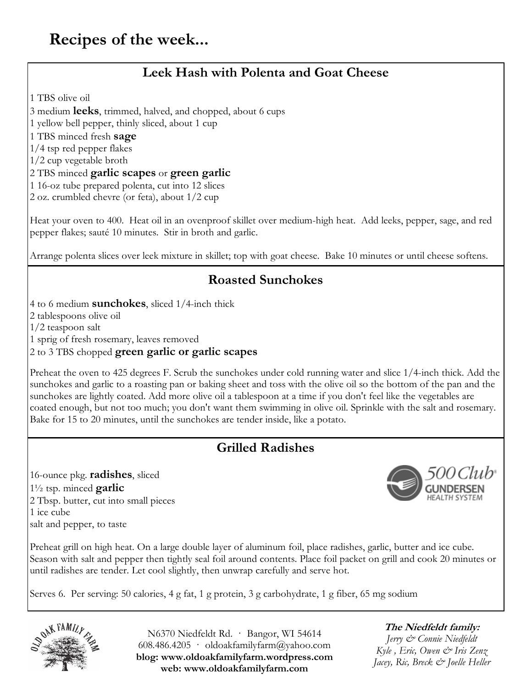# **Leek Hash with Polenta and Goat Cheese**

1 TBS olive oil

3 medium **leeks**, trimmed, halved, and chopped, about 6 cups

1 yellow bell pepper, thinly sliced, about 1 cup

1 TBS minced fresh **sage**

1/4 tsp red pepper flakes

1/2 cup vegetable broth

#### 2 TBS minced **garlic scapes** or **green garlic**

1 16-oz tube prepared polenta, cut into 12 slices

2 oz. crumbled chevre (or feta), about 1/2 cup

Heat your oven to 400. Heat oil in an ovenproof skillet over medium-high heat. Add leeks, pepper, sage, and red pepper flakes; sauté 10 minutes. Stir in broth and garlic.

Arrange polenta slices over leek mixture in skillet; top with goat cheese. Bake 10 minutes or until cheese softens.

### **Roasted Sunchokes**

4 to 6 medium **sunchokes**, sliced 1/4-inch thick

2 tablespoons olive oil

1/2 teaspoon salt

1 sprig of fresh rosemary, leaves removed

2 to 3 TBS chopped **green garlic or garlic scapes**

Preheat the oven to 425 degrees F. Scrub the sunchokes under cold running water and slice 1/4-inch thick. Add the sunchokes and garlic to a roasting pan or baking sheet and toss with the olive oil so the bottom of the pan and the sunchokes are lightly coated. Add more olive oil a tablespoon at a time if you don't feel like the vegetables are coated enough, but not too much; you don't want them swimming in olive oil. Sprinkle with the salt and rosemary. Bake for 15 to 20 minutes, until the sunchokes are tender inside, like a potato.

## **Grilled Radishes**

16-ounce pkg. **radishes**, sliced 1½ tsp. minced **garlic** 2 Tbsp. butter, cut into small pieces 1 ice cube salt and pepper, to taste



Preheat grill on high heat. On a large double layer of aluminum foil, place radishes, garlic, butter and ice cube. Season with salt and pepper then tightly seal foil around contents. Place foil packet on grill and cook 20 minutes or until radishes are tender. Let cool slightly, then unwrap carefully and serve hot.

Serves 6. Per serving: 50 calories, 4 g fat, 1 g protein, 3 g carbohydrate, 1 g fiber, 65 mg sodium



N6370 Niedfeldt Rd. · Bangor, WI 54614 608.486.4205 oldoakfamilyfarm@yahoo.com **blog: www.oldoakfamilyfarm.wordpress.com web: www.oldoakfamilyfarm.com**

#### **The Niedfeldt family:** *Jerry & Connie Niedfeldt Kyle , Eric, Owen & Iris Zenz Jacey, Ric, Breck & Joelle Heller*